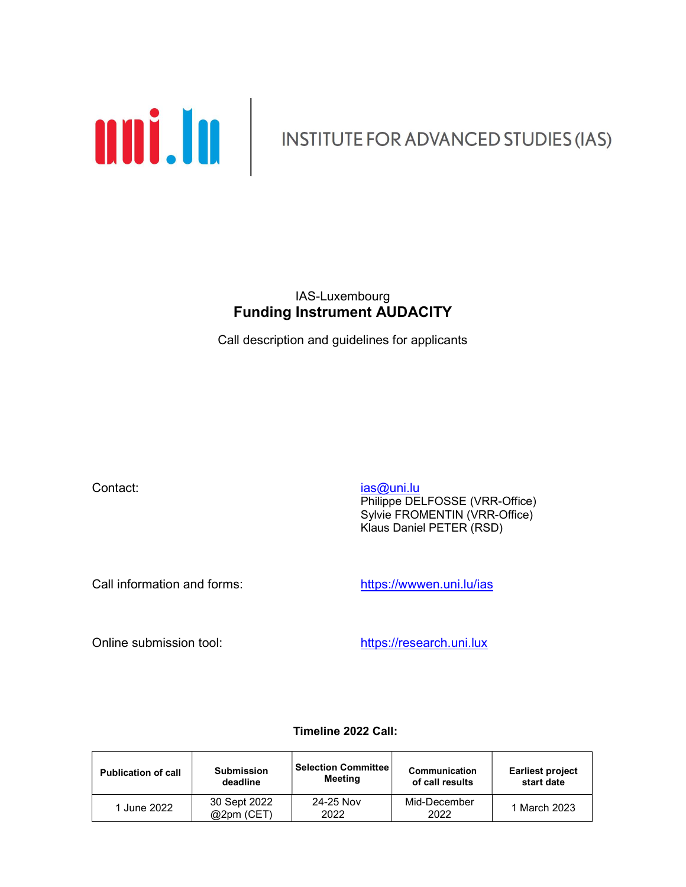

### IAS-Luxembourg Funding Instrument AUDACITY

Call description and guidelines for applicants

Contact: ias and its interval of the contact: ias and its interval of the contact:

 Philippe DELFOSSE (VRR-Office) Sylvie FROMENTIN (VRR-Office) Klaus Daniel PETER (RSD)

Call information and forms: https://wwwen.uni.lu/ias

Online submission tool: https://research.uni.lux

#### Timeline 2022 Call:

| <b>Publication of call</b> | <b>Submission</b>          | <b>Selection Committee</b> | Communication        | <b>Earliest project</b> |
|----------------------------|----------------------------|----------------------------|----------------------|-------------------------|
|                            | deadline                   | Meeting                    | of call results      | start date              |
| 1 June 2022                | 30 Sept 2022<br>@2pm (CET) | 24-25 Nov<br>2022          | Mid-December<br>2022 | 1 March 2023            |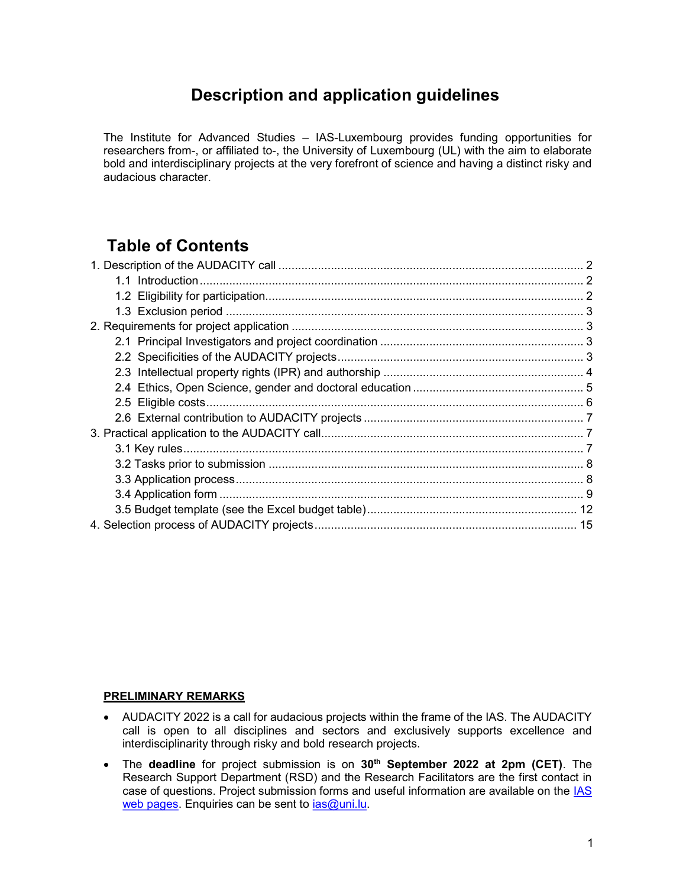# Description and application guidelines

The Institute for Advanced Studies – IAS-Luxembourg provides funding opportunities for researchers from-, or affiliated to-, the University of Luxembourg (UL) with the aim to elaborate bold and interdisciplinary projects at the very forefront of science and having a distinct risky and audacious character.

# Table of Contents

#### PRELIMINARY REMARKS

- AUDACITY 2022 is a call for audacious projects within the frame of the IAS. The AUDACITY call is open to all disciplines and sectors and exclusively supports excellence and interdisciplinarity through risky and bold research projects.
- The deadline for project submission is on 30<sup>th</sup> September 2022 at 2pm (CET). The Research Support Department (RSD) and the Research Facilitators are the first contact in case of questions. Project submission forms and useful information are available on the IAS web pages. Enquiries can be sent to  $ias@uni.lu.$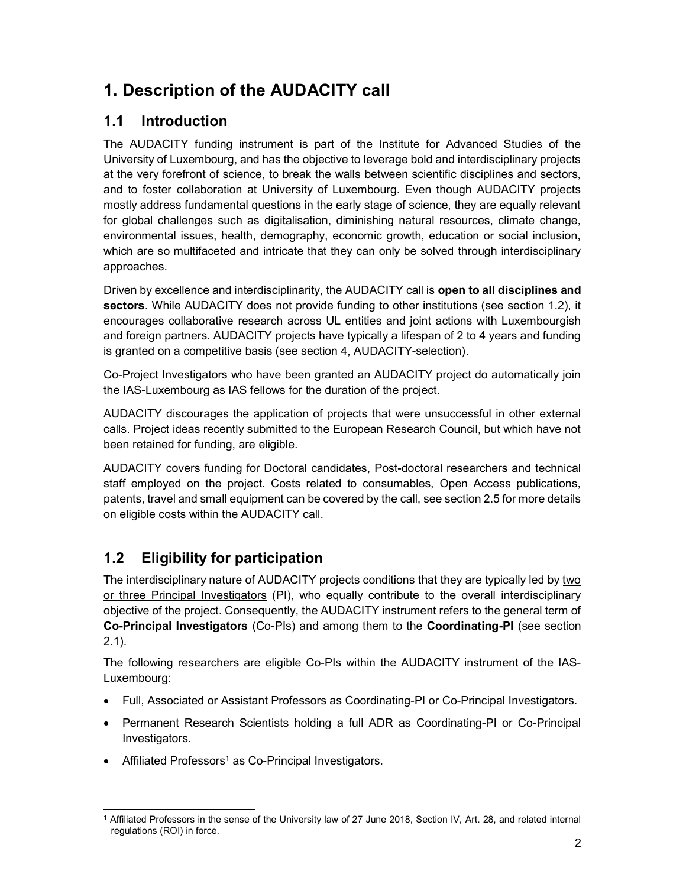# 1. Description of the AUDACITY call

# 1.1 Introduction

The AUDACITY funding instrument is part of the Institute for Advanced Studies of the University of Luxembourg, and has the objective to leverage bold and interdisciplinary projects at the very forefront of science, to break the walls between scientific disciplines and sectors, and to foster collaboration at University of Luxembourg. Even though AUDACITY projects mostly address fundamental questions in the early stage of science, they are equally relevant for global challenges such as digitalisation, diminishing natural resources, climate change, environmental issues, health, demography, economic growth, education or social inclusion, which are so multifaceted and intricate that they can only be solved through interdisciplinary approaches.

Driven by excellence and interdisciplinarity, the AUDACITY call is open to all disciplines and sectors. While AUDACITY does not provide funding to other institutions (see section 1.2), it encourages collaborative research across UL entities and joint actions with Luxembourgish and foreign partners. AUDACITY projects have typically a lifespan of 2 to 4 years and funding is granted on a competitive basis (see section 4, AUDACITY-selection).

Co-Project Investigators who have been granted an AUDACITY project do automatically join the IAS-Luxembourg as IAS fellows for the duration of the project.

AUDACITY discourages the application of projects that were unsuccessful in other external calls. Project ideas recently submitted to the European Research Council, but which have not been retained for funding, are eligible.

AUDACITY covers funding for Doctoral candidates, Post-doctoral researchers and technical staff employed on the project. Costs related to consumables, Open Access publications, patents, travel and small equipment can be covered by the call, see section 2.5 for more details on eligible costs within the AUDACITY call.

# 1.2 Eligibility for participation

The interdisciplinary nature of AUDACITY projects conditions that they are typically led by two or three Principal Investigators (PI), who equally contribute to the overall interdisciplinary objective of the project. Consequently, the AUDACITY instrument refers to the general term of Co-Principal Investigators (Co-PIs) and among them to the Coordinating-PI (see section  $2.1$ ).

The following researchers are eligible Co-PIs within the AUDACITY instrument of the IAS-Luxembourg:

- Full, Associated or Assistant Professors as Coordinating-PI or Co-Principal Investigators.
- Permanent Research Scientists holding a full ADR as Coordinating-PI or Co-Principal Investigators.
- Affiliated Professors<sup>1</sup> as Co-Principal Investigators.

<sup>-</sup>1 Affiliated Professors in the sense of the University law of 27 June 2018, Section IV, Art. 28, and related internal regulations (ROI) in force.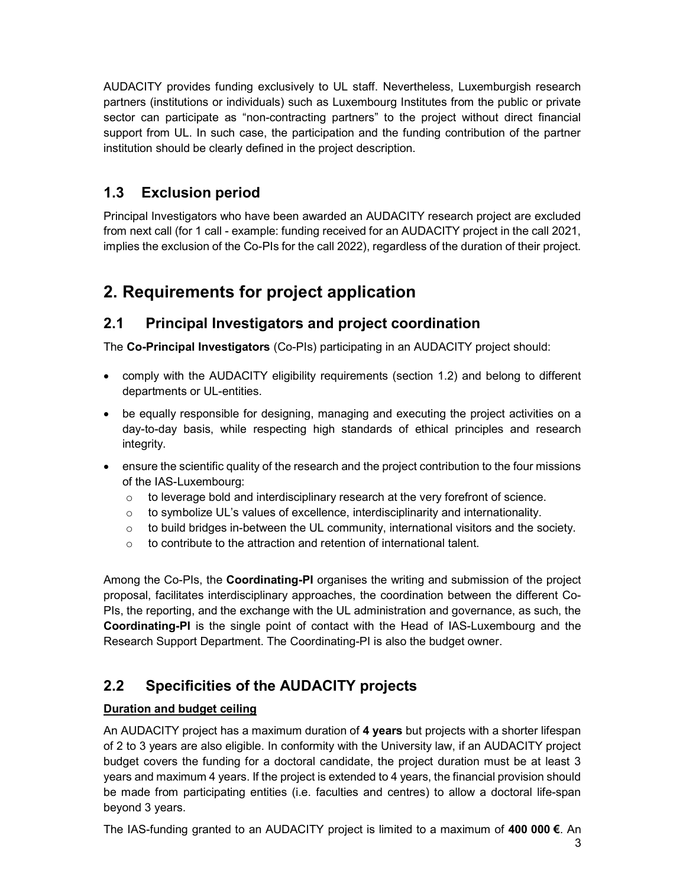AUDACITY provides funding exclusively to UL staff. Nevertheless, Luxemburgish research partners (institutions or individuals) such as Luxembourg Institutes from the public or private sector can participate as "non-contracting partners" to the project without direct financial support from UL. In such case, the participation and the funding contribution of the partner institution should be clearly defined in the project description.

# 1.3 Exclusion period

Principal Investigators who have been awarded an AUDACITY research project are excluded from next call (for 1 call - example: funding received for an AUDACITY project in the call 2021, implies the exclusion of the Co-PIs for the call 2022), regardless of the duration of their project.

# 2. Requirements for project application

# 2.1 Principal Investigators and project coordination

The Co-Principal Investigators (Co-PIs) participating in an AUDACITY project should:

- comply with the AUDACITY eligibility requirements (section 1.2) and belong to different departments or UL-entities.
- be equally responsible for designing, managing and executing the project activities on a day-to-day basis, while respecting high standards of ethical principles and research integrity.
- ensure the scientific quality of the research and the project contribution to the four missions of the IAS-Luxembourg:
	- $\circ$  to leverage bold and interdisciplinary research at the very forefront of science.
	- $\circ$  to symbolize UL's values of excellence, interdisciplinarity and internationality.
	- $\circ$  to build bridges in-between the UL community, international visitors and the society.
	- o to contribute to the attraction and retention of international talent.

Among the Co-PIs, the Coordinating-PI organises the writing and submission of the project proposal, facilitates interdisciplinary approaches, the coordination between the different Co-PIs, the reporting, and the exchange with the UL administration and governance, as such, the Coordinating-PI is the single point of contact with the Head of IAS-Luxembourg and the Research Support Department. The Coordinating-PI is also the budget owner.

# 2.2 Specificities of the AUDACITY projects

### Duration and budget ceiling

An AUDACITY project has a maximum duration of 4 years but projects with a shorter lifespan of 2 to 3 years are also eligible. In conformity with the University law, if an AUDACITY project budget covers the funding for a doctoral candidate, the project duration must be at least 3 years and maximum 4 years. If the project is extended to 4 years, the financial provision should be made from participating entities (i.e. faculties and centres) to allow a doctoral life-span beyond 3 years.

The IAS-funding granted to an AUDACITY project is limited to a maximum of 400 000 €. An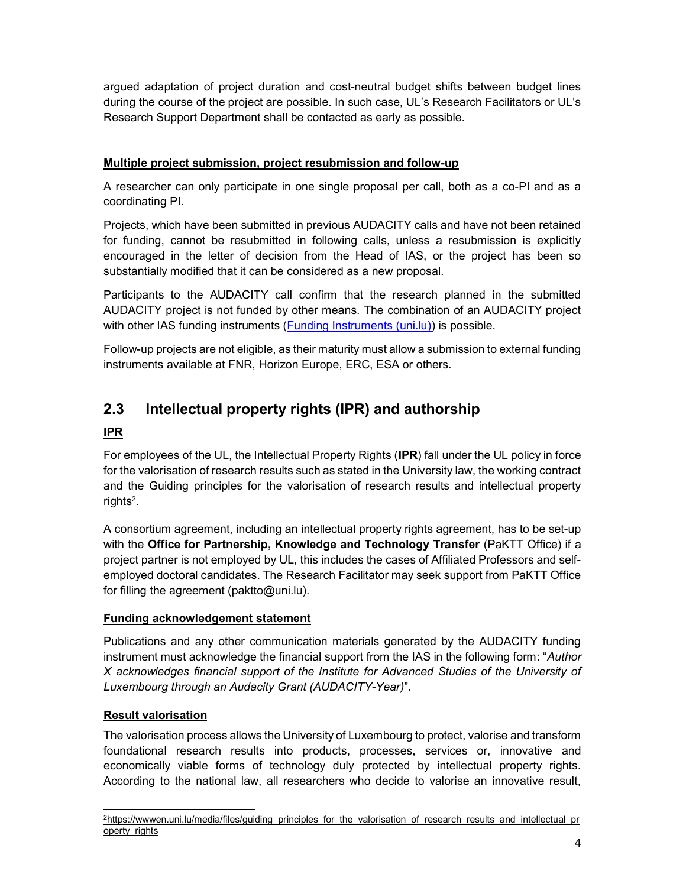argued adaptation of project duration and cost-neutral budget shifts between budget lines during the course of the project are possible. In such case, UL's Research Facilitators or UL's Research Support Department shall be contacted as early as possible.

#### Multiple project submission, project resubmission and follow-up

A researcher can only participate in one single proposal per call, both as a co-PI and as a coordinating PI.

Projects, which have been submitted in previous AUDACITY calls and have not been retained for funding, cannot be resubmitted in following calls, unless a resubmission is explicitly encouraged in the letter of decision from the Head of IAS, or the project has been so substantially modified that it can be considered as a new proposal.

Participants to the AUDACITY call confirm that the research planned in the submitted AUDACITY project is not funded by other means. The combination of an AUDACITY project with other IAS funding instruments (Funding Instruments (uni.lu)) is possible.

Follow-up projects are not eligible, as their maturity must allow a submission to external funding instruments available at FNR, Horizon Europe, ERC, ESA or others.

# 2.3 Intellectual property rights (IPR) and authorship

#### IPR

For employees of the UL, the Intellectual Property Rights (IPR) fall under the UL policy in force for the valorisation of research results such as stated in the University law, the working contract and the Guiding principles for the valorisation of research results and intellectual property rights<sup>2</sup>.

A consortium agreement, including an intellectual property rights agreement, has to be set-up with the Office for Partnership, Knowledge and Technology Transfer (PaKTT Office) if a project partner is not employed by UL, this includes the cases of Affiliated Professors and selfemployed doctoral candidates. The Research Facilitator may seek support from PaKTT Office for filling the agreement (paktto@uni.lu).

#### Funding acknowledgement statement

Publications and any other communication materials generated by the AUDACITY funding instrument must acknowledge the financial support from the IAS in the following form: "Author X acknowledges financial support of the Institute for Advanced Studies of the University of Luxembourg through an Audacity Grant (AUDACITY-Year)".

#### Result valorisation

The valorisation process allows the University of Luxembourg to protect, valorise and transform foundational research results into products, processes, services or, innovative and economically viable forms of technology duly protected by intellectual property rights. According to the national law, all researchers who decide to valorise an innovative result,

<sup>-</sup><sup>2</sup>https://wwwen.uni.lu/media/files/guiding\_principles\_for\_the\_valorisation\_of\_research\_results\_and\_intellectual\_pr operty\_rights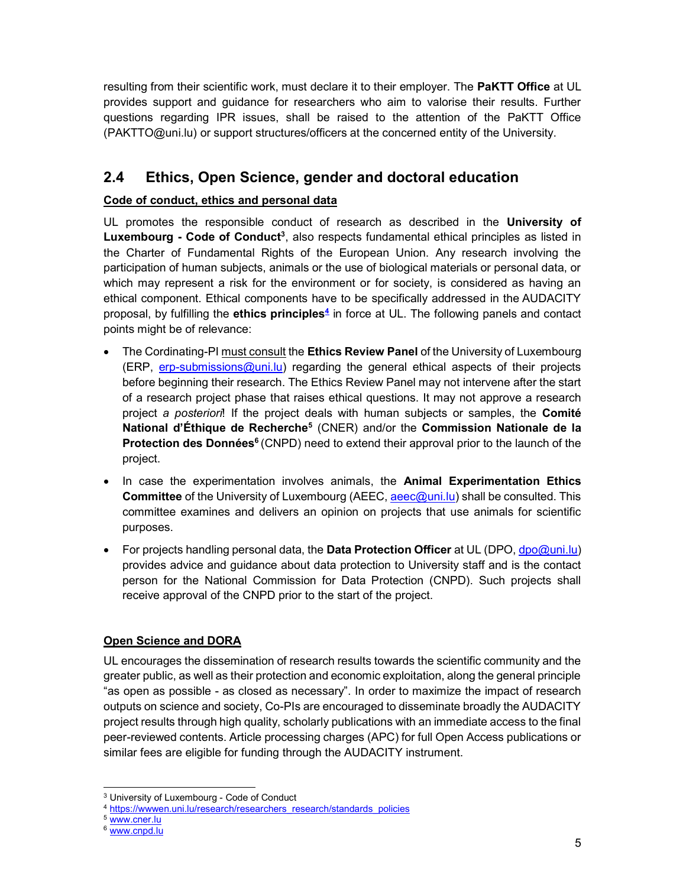resulting from their scientific work, must declare it to their employer. The PaKTT Office at UL provides support and guidance for researchers who aim to valorise their results. Further questions regarding IPR issues, shall be raised to the attention of the PaKTT Office (PAKTTO@uni.lu) or support structures/officers at the concerned entity of the University.

# 2.4 Ethics, Open Science, gender and doctoral education

#### Code of conduct, ethics and personal data

UL promotes the responsible conduct of research as described in the University of Luxembourg - Code of Conduct<sup>3</sup>, also respects fundamental ethical principles as listed in the Charter of Fundamental Rights of the European Union. Any research involving the participation of human subjects, animals or the use of biological materials or personal data, or which may represent a risk for the environment or for society, is considered as having an ethical component. Ethical components have to be specifically addressed in the AUDACITY proposal, by fulfilling the **ethics principles<sup>4</sup>** in force at UL. The following panels and contact points might be of relevance:

- The Cordinating-PI must consult the **Ethics Review Panel** of the University of Luxembourg (ERP, erp-submissions@uni.lu) regarding the general ethical aspects of their projects before beginning their research. The Ethics Review Panel may not intervene after the start of a research project phase that raises ethical questions. It may not approve a research project a posterior! If the project deals with human subjects or samples, the Comité National d'Éthique de Recherche<sup>5</sup> (CNER) and/or the Commission Nationale de la **Protection des Données<sup>6</sup> (CNPD)** need to extend their approval prior to the launch of the project.
- In case the experimentation involves animals, the **Animal Experimentation Ethics Committee** of the University of Luxembourg (AEEC, aeec@uni.lu) shall be consulted. This committee examines and delivers an opinion on projects that use animals for scientific purposes.
- For projects handling personal data, the **Data Protection Officer** at UL (DPO,  $\frac{d}{d}$ po@uni.lu) provides advice and guidance about data protection to University staff and is the contact person for the National Commission for Data Protection (CNPD). Such projects shall receive approval of the CNPD prior to the start of the project.

#### Open Science and DORA

UL encourages the dissemination of research results towards the scientific community and the greater public, as well as their protection and economic exploitation, along the general principle "as open as possible - as closed as necessary". In order to maximize the impact of research outputs on science and society, Co-PIs are encouraged to disseminate broadly the AUDACITY project results through high quality, scholarly publications with an immediate access to the final peer-reviewed contents. Article processing charges (APC) for full Open Access publications or similar fees are eligible for funding through the AUDACITY instrument.

<sup>-</sup><sup>3</sup> University of Luxembourg - Code of Conduct

<sup>4</sup> https://wwwen.uni.lu/research/researchers\_research/standards\_policies

<sup>5</sup> www.cner.lu

<sup>6</sup> www.cnpd.lu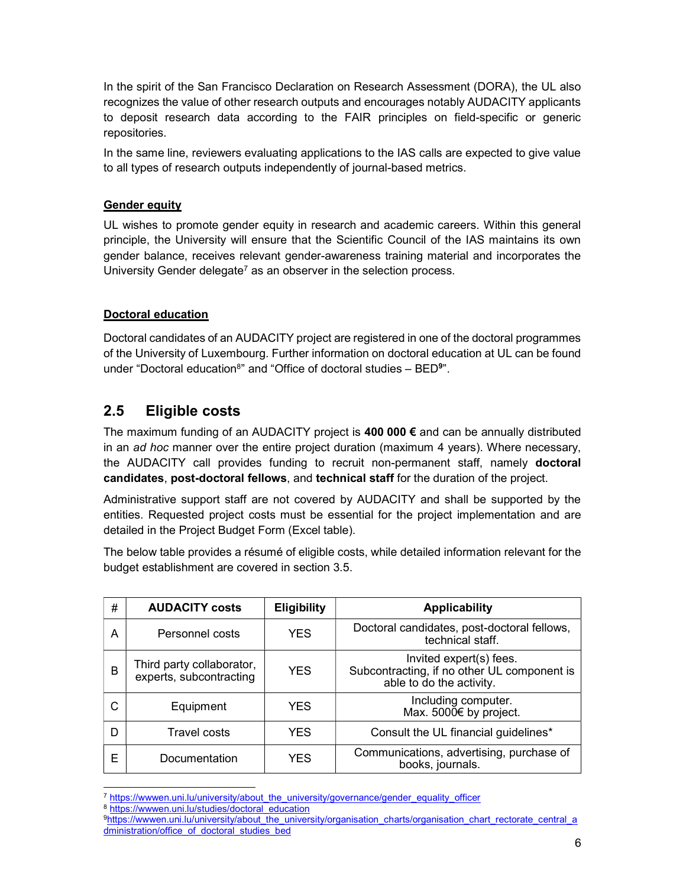In the spirit of the San Francisco Declaration on Research Assessment (DORA), the UL also recognizes the value of other research outputs and encourages notably AUDACITY applicants to deposit research data according to the FAIR principles on field-specific or generic repositories.

In the same line, reviewers evaluating applications to the IAS calls are expected to give value to all types of research outputs independently of journal-based metrics.

#### **Gender equity**

UL wishes to promote gender equity in research and academic careers. Within this general principle, the University will ensure that the Scientific Council of the IAS maintains its own gender balance, receives relevant gender-awareness training material and incorporates the University Gender delegate<sup>7</sup> as an observer in the selection process.

#### Doctoral education

Doctoral candidates of an AUDACITY project are registered in one of the doctoral programmes of the University of Luxembourg. Further information on doctoral education at UL can be found under "Doctoral education<sup>8</sup>" and "Office of doctoral studies - BED<sup>9</sup>".

## 2.5 Eligible costs

The maximum funding of an AUDACITY project is  $400\,000 \, \epsilon$  and can be annually distributed in an ad hoc manner over the entire project duration (maximum 4 years). Where necessary, the AUDACITY call provides funding to recruit non-permanent staff, namely doctoral candidates, post-doctoral fellows, and technical staff for the duration of the project.

Administrative support staff are not covered by AUDACITY and shall be supported by the entities. Requested project costs must be essential for the project implementation and are detailed in the Project Budget Form (Excel table).

The below table provides a résumé of eligible costs, while detailed information relevant for the budget establishment are covered in section 3.5.

| # | <b>AUDACITY costs</b>                                | <b>Eligibility</b> | <b>Applicability</b>                                                                               |
|---|------------------------------------------------------|--------------------|----------------------------------------------------------------------------------------------------|
| Α | Personnel costs                                      | <b>YES</b>         | Doctoral candidates, post-doctoral fellows,<br>technical staff.                                    |
| B | Third party collaborator,<br>experts, subcontracting | <b>YES</b>         | Invited expert(s) fees.<br>Subcontracting, if no other UL component is<br>able to do the activity. |
|   | Equipment                                            | <b>YES</b>         | Including computer.<br>Max. 5000€ by project.                                                      |
| D | <b>Travel costs</b>                                  | <b>YES</b>         | Consult the UL financial guidelines*                                                               |
| F | Documentation                                        | YES                | Communications, advertising, purchase of<br>books, journals.                                       |

<sup>-</sup><sup>7</sup> https://wwwen.uni.lu/university/about\_the\_university/governance/gender\_equality\_officer

<sup>8</sup> https://wwwen.uni.lu/studies/doctoral\_education

<sup>9</sup>https://wwwen.uni.lu/university/about\_the\_university/organisation\_charts/organisation\_chart\_rectorate\_central\_a dministration/office\_of\_doctoral\_studies\_bed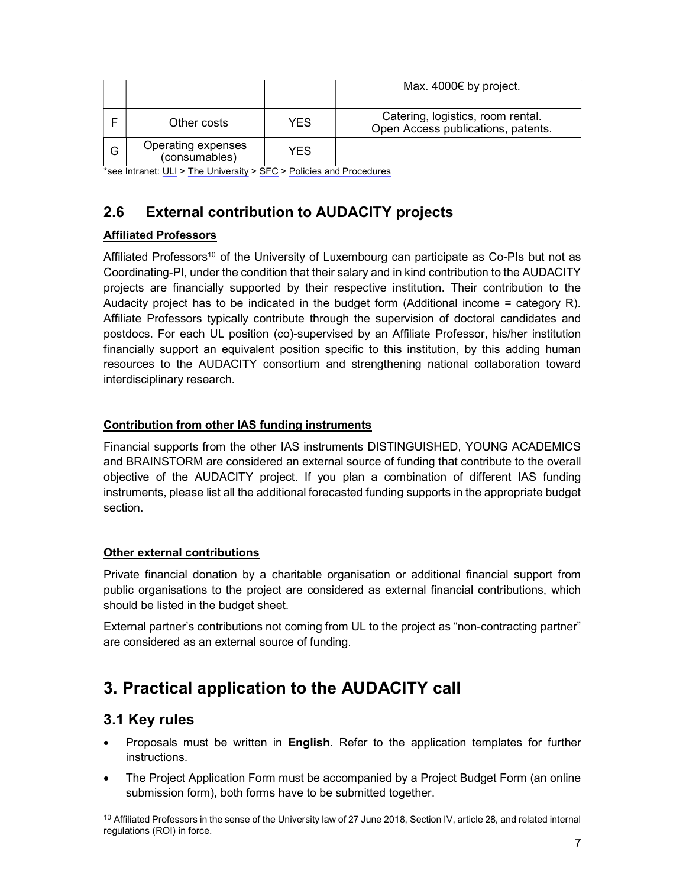|   |                                     |            | Max. 4000€ by project.                                                  |
|---|-------------------------------------|------------|-------------------------------------------------------------------------|
|   | Other costs                         | <b>YES</b> | Catering, logistics, room rental.<br>Open Access publications, patents. |
| G | Operating expenses<br>(consumables) | YES        |                                                                         |

\*see Intranet: ULI > The University > SFC > Policies and Procedures

# 2.6 External contribution to AUDACITY projects

#### Affiliated Professors

Affiliated Professors<sup>10</sup> of the University of Luxembourg can participate as Co-PIs but not as Coordinating-PI, under the condition that their salary and in kind contribution to the AUDACITY projects are financially supported by their respective institution. Their contribution to the Audacity project has to be indicated in the budget form (Additional income = category R). Affiliate Professors typically contribute through the supervision of doctoral candidates and postdocs. For each UL position (co)-supervised by an Affiliate Professor, his/her institution financially support an equivalent position specific to this institution, by this adding human resources to the AUDACITY consortium and strengthening national collaboration toward interdisciplinary research.

#### Contribution from other IAS funding instruments

Financial supports from the other IAS instruments DISTINGUISHED, YOUNG ACADEMICS and BRAINSTORM are considered an external source of funding that contribute to the overall objective of the AUDACITY project. If you plan a combination of different IAS funding instruments, please list all the additional forecasted funding supports in the appropriate budget section.

#### Other external contributions

Private financial donation by a charitable organisation or additional financial support from public organisations to the project are considered as external financial contributions, which should be listed in the budget sheet.

External partner's contributions not coming from UL to the project as "non-contracting partner" are considered as an external source of funding.

# 3. Practical application to the AUDACITY call

## 3.1 Key rules

-

- Proposals must be written in English. Refer to the application templates for further instructions.
- The Project Application Form must be accompanied by a Project Budget Form (an online submission form), both forms have to be submitted together.

 $10$  Affiliated Professors in the sense of the University law of 27 June 2018, Section IV, article 28, and related internal regulations (ROI) in force.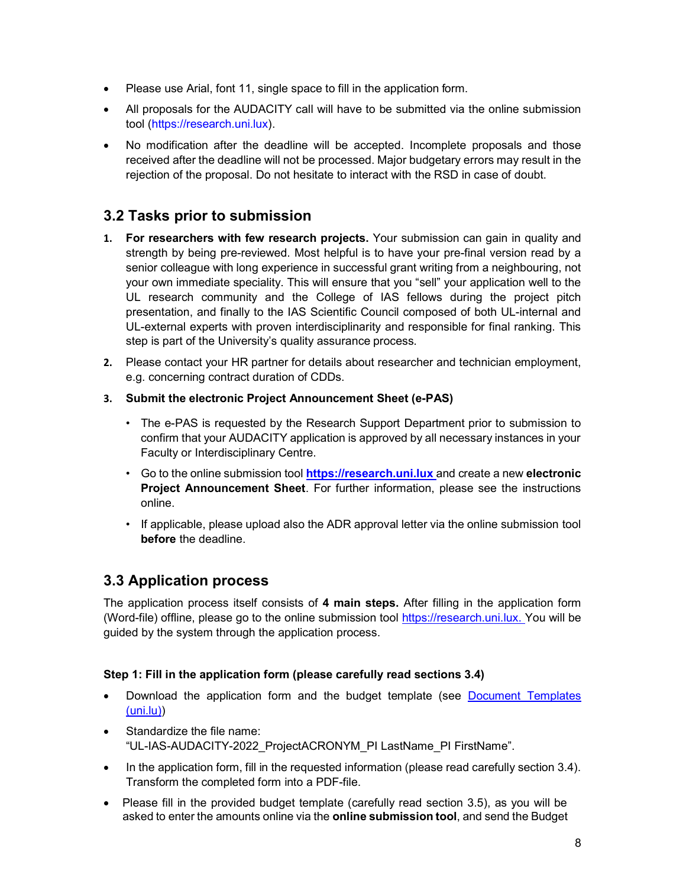- Please use Arial, font 11, single space to fill in the application form.
- All proposals for the AUDACITY call will have to be submitted via the online submission tool (https://research.uni.lux).
- No modification after the deadline will be accepted. Incomplete proposals and those received after the deadline will not be processed. Major budgetary errors may result in the rejection of the proposal. Do not hesitate to interact with the RSD in case of doubt.

### 3.2 Tasks prior to submission

- 1. For researchers with few research projects. Your submission can gain in quality and strength by being pre-reviewed. Most helpful is to have your pre-final version read by a senior colleague with long experience in successful grant writing from a neighbouring, not your own immediate speciality. This will ensure that you "sell" your application well to the UL research community and the College of IAS fellows during the project pitch presentation, and finally to the IAS Scientific Council composed of both UL-internal and UL-external experts with proven interdisciplinarity and responsible for final ranking. This step is part of the University's quality assurance process.
- 2. Please contact your HR partner for details about researcher and technician employment, e.g. concerning contract duration of CDDs.
- 3. Submit the electronic Project Announcement Sheet (e-PAS)
	- The e-PAS is requested by the Research Support Department prior to submission to confirm that your AUDACITY application is approved by all necessary instances in your Faculty or Interdisciplinary Centre.
	- Go to the online submission tool **https://research.uni.lux** and create a new electronic Project Announcement Sheet. For further information, please see the instructions online.
	- If applicable, please upload also the ADR approval letter via the online submission tool before the deadline.

## 3.3 Application process

The application process itself consists of 4 main steps. After filling in the application form (Word-file) offline, please go to the online submission tool https://research.uni.lux. You will be guided by the system through the application process.

#### Step 1: Fill in the application form (please carefully read sections 3.4)

- Download the application form and the budget template (see Document Templates (uni.lu))
- Standardize the file name: "UL-IAS-AUDACITY-2022\_ProjectACRONYM\_PI LastName\_PI FirstName".
- In the application form, fill in the requested information (please read carefully section 3.4). Transform the completed form into a PDF-file.
- Please fill in the provided budget template (carefully read section 3.5), as you will be asked to enter the amounts online via the **online submission tool**, and send the Budget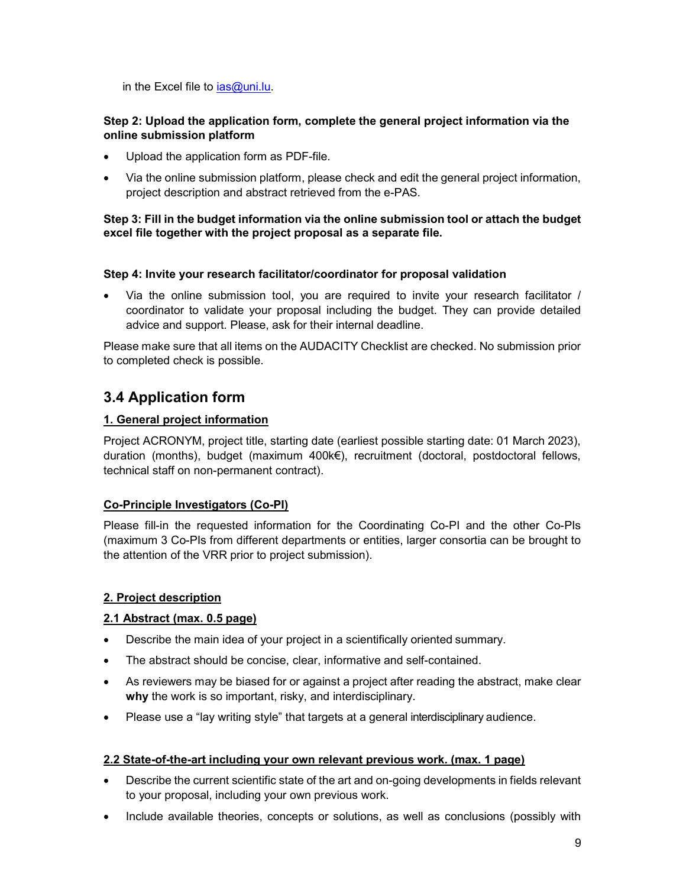in the Excel file to  $i$ as@uni.lu.

#### Step 2: Upload the application form, complete the general project information via the online submission platform

- Upload the application form as PDF-file.
- Via the online submission platform, please check and edit the general project information, project description and abstract retrieved from the e-PAS.

#### Step 3: Fill in the budget information via the online submission tool or attach the budget excel file together with the project proposal as a separate file.

#### Step 4: Invite your research facilitator/coordinator for proposal validation

 Via the online submission tool, you are required to invite your research facilitator / coordinator to validate your proposal including the budget. They can provide detailed advice and support. Please, ask for their internal deadline.

Please make sure that all items on the AUDACITY Checklist are checked. No submission prior to completed check is possible.

### 3.4 Application form

#### 1. General project information

Project ACRONYM, project title, starting date (earliest possible starting date: 01 March 2023), duration (months), budget (maximum 400k€), recruitment (doctoral, postdoctoral fellows, technical staff on non-permanent contract).

#### Co-Principle Investigators (Co-PI)

Please fill-in the requested information for the Coordinating Co-PI and the other Co-PIs (maximum 3 Co-PIs from different departments or entities, larger consortia can be brought to the attention of the VRR prior to project submission).

#### 2. Project description

#### 2.1 Abstract (max. 0.5 page)

- Describe the main idea of your project in a scientifically oriented summary.
- The abstract should be concise, clear, informative and self-contained.
- As reviewers may be biased for or against a project after reading the abstract, make clear why the work is so important, risky, and interdisciplinary.
- Please use a "lay writing style" that targets at a general interdisciplinary audience.

#### 2.2 State-of-the-art including your own relevant previous work. (max. 1 page)

- Describe the current scientific state of the art and on-going developments in fields relevant to your proposal, including your own previous work.
- Include available theories, concepts or solutions, as well as conclusions (possibly with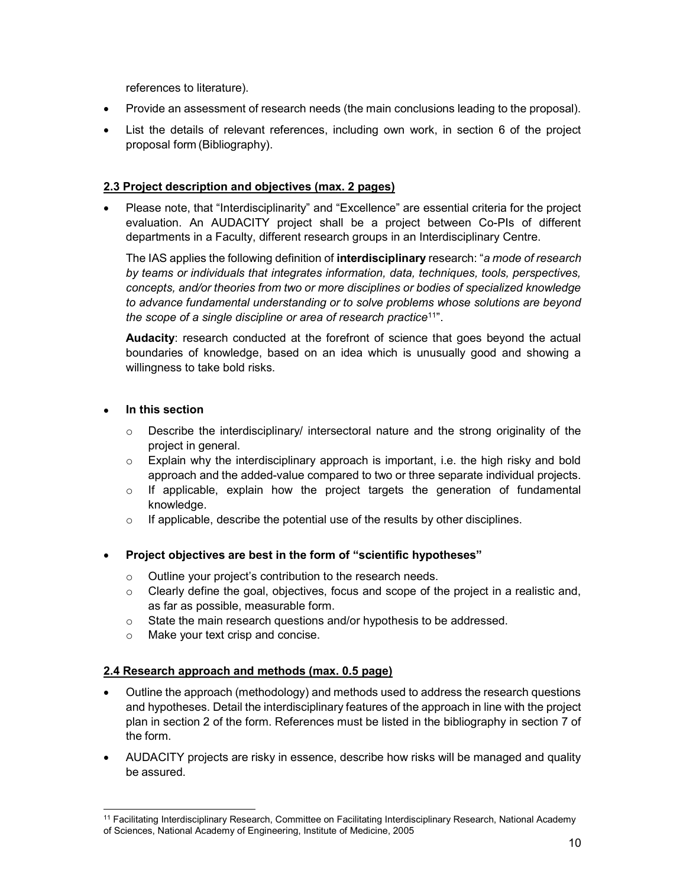references to literature).

- Provide an assessment of research needs (the main conclusions leading to the proposal).
- List the details of relevant references, including own work, in section 6 of the project proposal form (Bibliography).

#### 2.3 Project description and objectives (max. 2 pages)

 Please note, that "Interdisciplinarity" and "Excellence" are essential criteria for the project evaluation. An AUDACITY project shall be a project between Co-PIs of different departments in a Faculty, different research groups in an Interdisciplinary Centre.

The IAS applies the following definition of interdisciplinary research: "a mode of research by teams or individuals that integrates information, data, techniques, tools, perspectives, concepts, and/or theories from two or more disciplines or bodies of specialized knowledge to advance fundamental understanding or to solve problems whose solutions are beyond the scope of a single discipline or area of research practice<sup>11"</sup>.

Audacity: research conducted at the forefront of science that goes beyond the actual boundaries of knowledge, based on an idea which is unusually good and showing a willingness to take bold risks.

#### In this section

-

- o Describe the interdisciplinary/ intersectoral nature and the strong originality of the project in general.
- $\circ$  Explain why the interdisciplinary approach is important, i.e. the high risky and bold approach and the added-value compared to two or three separate individual projects.
- $\circ$  If applicable, explain how the project targets the generation of fundamental knowledge.
- $\circ$  If applicable, describe the potential use of the results by other disciplines.

#### Project objectives are best in the form of "scientific hypotheses"

- o Outline your project's contribution to the research needs.
- $\circ$  Clearly define the goal, objectives, focus and scope of the project in a realistic and, as far as possible, measurable form.
- o State the main research questions and/or hypothesis to be addressed.
- o Make your text crisp and concise.

#### 2.4 Research approach and methods (max. 0.5 page)

- Outline the approach (methodology) and methods used to address the research questions and hypotheses. Detail the interdisciplinary features of the approach in line with the project plan in section 2 of the form. References must be listed in the bibliography in section 7 of the form.
- AUDACITY projects are risky in essence, describe how risks will be managed and quality be assured.

<sup>11</sup> Facilitating Interdisciplinary Research, Committee on Facilitating Interdisciplinary Research, National Academy of Sciences, National Academy of Engineering, Institute of Medicine, 2005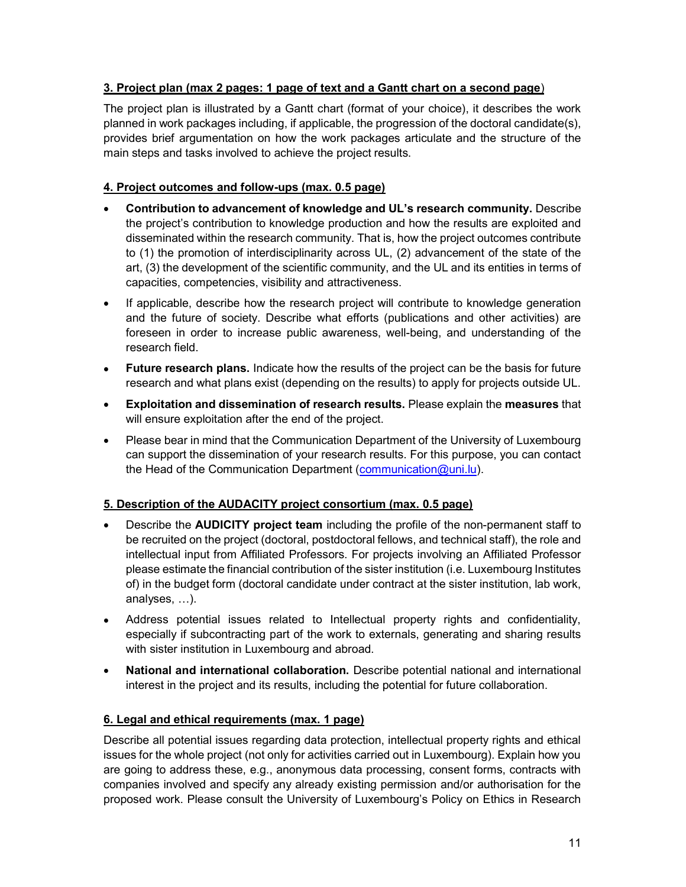#### 3. Project plan (max 2 pages: 1 page of text and a Gantt chart on a second page)

The project plan is illustrated by a Gantt chart (format of your choice), it describes the work planned in work packages including, if applicable, the progression of the doctoral candidate(s), provides brief argumentation on how the work packages articulate and the structure of the main steps and tasks involved to achieve the project results.

#### 4. Project outcomes and follow-ups (max. 0.5 page)

- Contribution to advancement of knowledge and UL's research community. Describe the project's contribution to knowledge production and how the results are exploited and disseminated within the research community. That is, how the project outcomes contribute to (1) the promotion of interdisciplinarity across UL, (2) advancement of the state of the art, (3) the development of the scientific community, and the UL and its entities in terms of capacities, competencies, visibility and attractiveness.
- If applicable, describe how the research project will contribute to knowledge generation and the future of society. Describe what efforts (publications and other activities) are foreseen in order to increase public awareness, well-being, and understanding of the research field.
- Future research plans. Indicate how the results of the project can be the basis for future research and what plans exist (depending on the results) to apply for projects outside UL.
- Exploitation and dissemination of research results. Please explain the measures that will ensure exploitation after the end of the project.
- Please bear in mind that the Communication Department of the University of Luxembourg can support the dissemination of your research results. For this purpose, you can contact the Head of the Communication Department (communication@uni.lu).

#### 5. Description of the AUDACITY project consortium (max. 0.5 page)

- Describe the AUDICITY project team including the profile of the non-permanent staff to be recruited on the project (doctoral, postdoctoral fellows, and technical staff), the role and intellectual input from Affiliated Professors. For projects involving an Affiliated Professor please estimate the financial contribution of the sister institution (i.e. Luxembourg Institutes of) in the budget form (doctoral candidate under contract at the sister institution, lab work, analyses, …).
- Address potential issues related to Intellectual property rights and confidentiality, especially if subcontracting part of the work to externals, generating and sharing results with sister institution in Luxembourg and abroad.
- National and international collaboration. Describe potential national and international interest in the project and its results, including the potential for future collaboration.

#### 6. Legal and ethical requirements (max. 1 page)

Describe all potential issues regarding data protection, intellectual property rights and ethical issues for the whole project (not only for activities carried out in Luxembourg). Explain how you are going to address these, e.g., anonymous data processing, consent forms, contracts with companies involved and specify any already existing permission and/or authorisation for the proposed work. Please consult the University of Luxembourg's Policy on Ethics in Research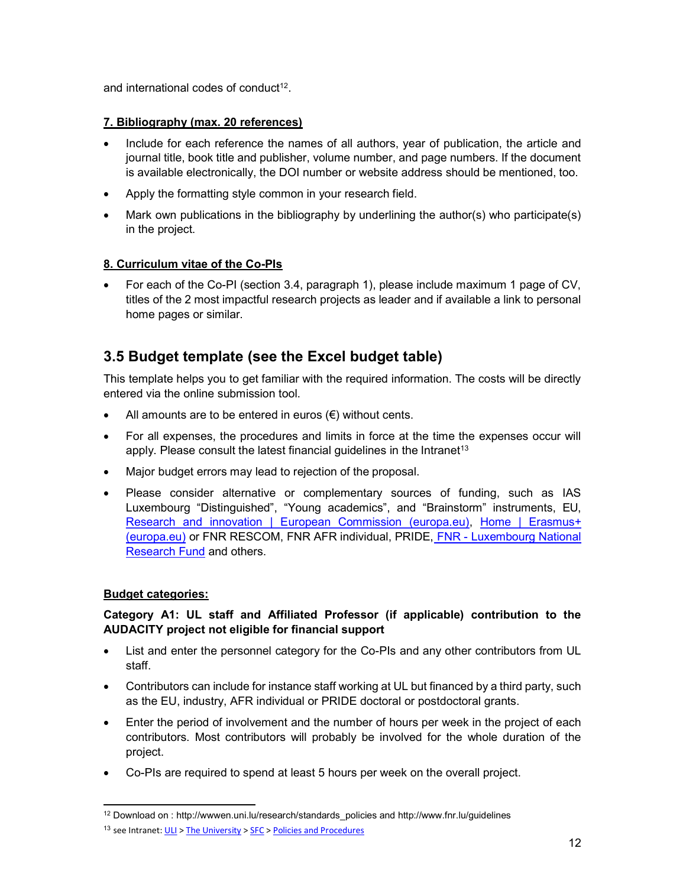and international codes of conduct<sup>12</sup>.

#### 7. Bibliography (max. 20 references)

- Include for each reference the names of all authors, year of publication, the article and journal title, book title and publisher, volume number, and page numbers. If the document is available electronically, the DOI number or website address should be mentioned, too.
- Apply the formatting style common in your research field.
- Mark own publications in the bibliography by underlining the author(s) who participate(s) in the project.

#### 8. Curriculum vitae of the Co-PIs

 For each of the Co-PI (section 3.4, paragraph 1), please include maximum 1 page of CV, titles of the 2 most impactful research projects as leader and if available a link to personal home pages or similar.

## 3.5 Budget template (see the Excel budget table)

This template helps you to get familiar with the required information. The costs will be directly entered via the online submission tool.

- All amounts are to be entered in euros  $(\epsilon)$  without cents.
- For all expenses, the procedures and limits in force at the time the expenses occur will apply. Please consult the latest financial quidelines in the Intranet<sup>13</sup>
- Major budget errors may lead to rejection of the proposal.
- Please consider alternative or complementary sources of funding, such as IAS Luxembourg "Distinguished", "Young academics", and "Brainstorm" instruments, EU, Research and innovation | European Commission (europa.eu), Home | Erasmus+ (europa.eu) or FNR RESCOM, FNR AFR individual, PRIDE, FNR - Luxembourg National Research Fund and others.

#### Budget categories:

#### Category A1: UL staff and Affiliated Professor (if applicable) contribution to the AUDACITY project not eligible for financial support

- List and enter the personnel category for the Co-PIs and any other contributors from UL staff.
- Contributors can include for instance staff working at UL but financed by a third party, such as the EU, industry, AFR individual or PRIDE doctoral or postdoctoral grants.
- Enter the period of involvement and the number of hours per week in the project of each contributors. Most contributors will probably be involved for the whole duration of the project.
- Co-PIs are required to spend at least 5 hours per week on the overall project.

<sup>-</sup><sup>12</sup> Download on : http://wwwen.uni.lu/research/standards\_policies and http://www.fnr.lu/guidelines

<sup>&</sup>lt;sup>13</sup> see Intranet: ULI > The University >  $SFC$  > Policies and Procedures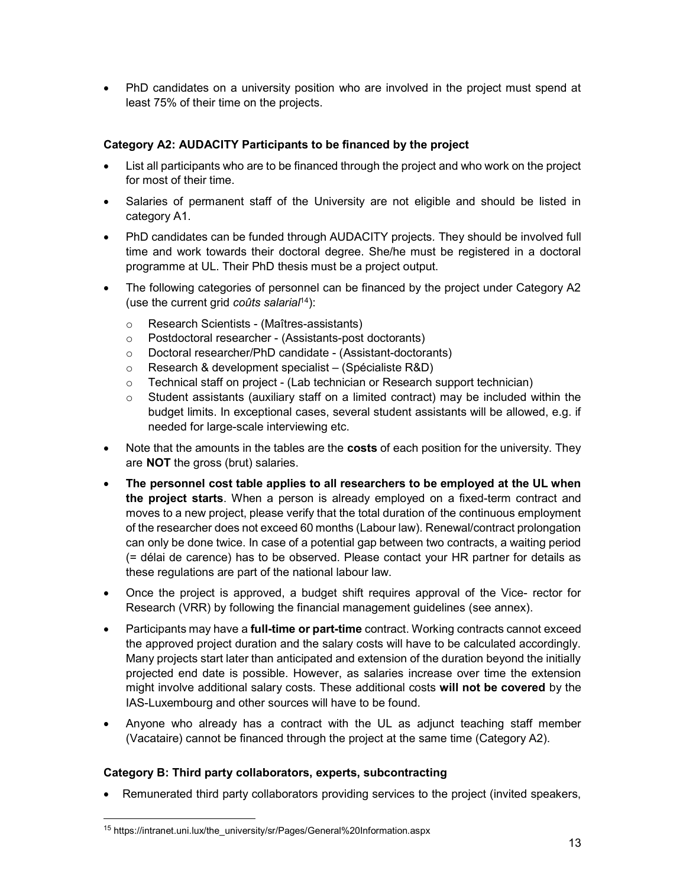• PhD candidates on a university position who are involved in the project must spend at least 75% of their time on the projects.

#### Category A2: AUDACITY Participants to be financed by the project

- List all participants who are to be financed through the project and who work on the project for most of their time.
- Salaries of permanent staff of the University are not eligible and should be listed in category A1.
- PhD candidates can be funded through AUDACITY projects. They should be involved full time and work towards their doctoral degree. She/he must be registered in a doctoral programme at UL. Their PhD thesis must be a project output.
- The following categories of personnel can be financed by the project under Category A2 (use the current grid coûts salarial<sup>14</sup>):
	- o Research Scientists (Maîtres-assistants)
	- o Postdoctoral researcher (Assistants-post doctorants)
	- o Doctoral researcher/PhD candidate (Assistant-doctorants)
	- o Research & development specialist (Spécialiste R&D)
	- o Technical staff on project (Lab technician or Research support technician)
	- $\circ$  Student assistants (auxiliary staff on a limited contract) may be included within the budget limits. In exceptional cases, several student assistants will be allowed, e.g. if needed for large-scale interviewing etc.
- Note that the amounts in the tables are the costs of each position for the university. They are NOT the gross (brut) salaries.
- The personnel cost table applies to all researchers to be employed at the UL when the project starts. When a person is already employed on a fixed-term contract and moves to a new project, please verify that the total duration of the continuous employment of the researcher does not exceed 60 months (Labour law). Renewal/contract prolongation can only be done twice. In case of a potential gap between two contracts, a waiting period (= délai de carence) has to be observed. Please contact your HR partner for details as these regulations are part of the national labour law.
- Once the project is approved, a budget shift requires approval of the Vice- rector for Research (VRR) by following the financial management guidelines (see annex).
- Participants may have a full-time or part-time contract. Working contracts cannot exceed the approved project duration and the salary costs will have to be calculated accordingly. Many projects start later than anticipated and extension of the duration beyond the initially projected end date is possible. However, as salaries increase over time the extension might involve additional salary costs. These additional costs will not be covered by the IAS-Luxembourg and other sources will have to be found.
- Anyone who already has a contract with the UL as adjunct teaching staff member (Vacataire) cannot be financed through the project at the same time (Category A2).

#### Category B: Third party collaborators, experts, subcontracting

Remunerated third party collaborators providing services to the project (invited speakers,

-

<sup>15</sup> https://intranet.uni.lux/the\_university/sr/Pages/General%20Information.aspx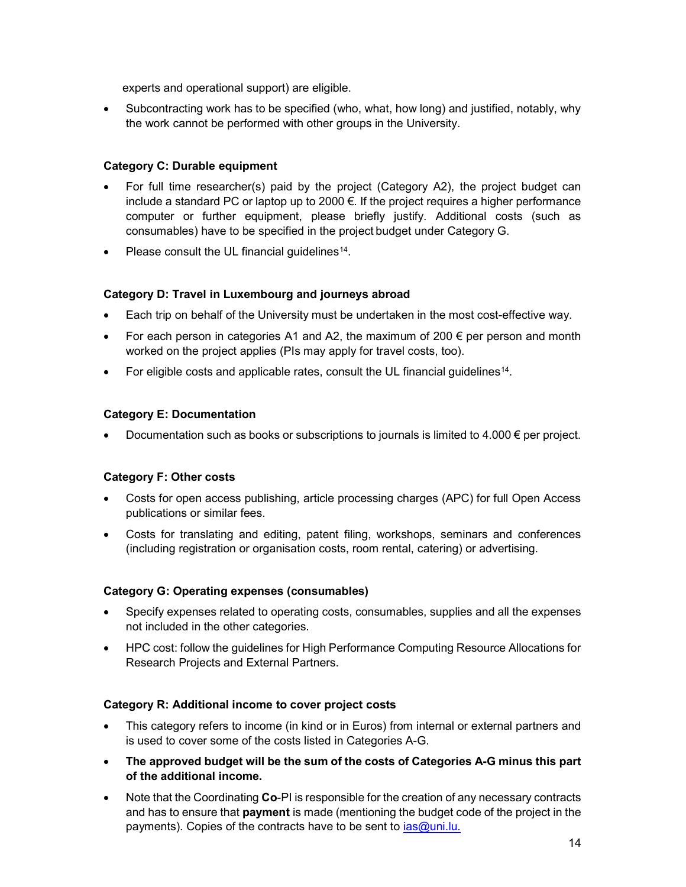experts and operational support) are eligible.

• Subcontracting work has to be specified (who, what, how long) and justified, notably, why the work cannot be performed with other groups in the University.

#### Category C: Durable equipment

- For full time researcher(s) paid by the project (Category A2), the project budget can include a standard PC or laptop up to 2000  $\epsilon$ . If the project requires a higher performance computer or further equipment, please briefly justify. Additional costs (such as consumables) have to be specified in the project budget under Category G.
- Please consult the UL financial guidelines<sup>14</sup>.

#### Category D: Travel in Luxembourg and journeys abroad

- Each trip on behalf of the University must be undertaken in the most cost-effective way.
- For each person in categories A1 and A2, the maximum of  $200 \epsilon$  per person and month worked on the project applies (PIs may apply for travel costs, too).
- For eligible costs and applicable rates, consult the UL financial guidelines<sup>14</sup>.

#### Category E: Documentation

Documentation such as books or subscriptions to journals is limited to  $4.000 \in \text{per project.}$ 

#### Category F: Other costs

- Costs for open access publishing, article processing charges (APC) for full Open Access publications or similar fees.
- Costs for translating and editing, patent filing, workshops, seminars and conferences (including registration or organisation costs, room rental, catering) or advertising.

#### Category G: Operating expenses (consumables)

- Specify expenses related to operating costs, consumables, supplies and all the expenses not included in the other categories.
- HPC cost: follow the guidelines for High Performance Computing Resource Allocations for Research Projects and External Partners.

#### Category R: Additional income to cover project costs

- This category refers to income (in kind or in Euros) from internal or external partners and is used to cover some of the costs listed in Categories A-G.
- The approved budget will be the sum of the costs of Categories A-G minus this part of the additional income.
- Note that the Coordinating Co-PI is responsible for the creation of any necessary contracts and has to ensure that **payment** is made (mentioning the budget code of the project in the payments). Copies of the contracts have to be sent to  $ias@uni.lu.$